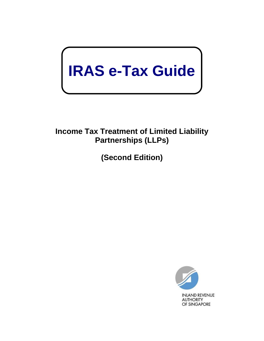# **IRAS e-Tax Guide**

# **Income Tax Treatment of Limited Liability Partnerships (LLPs)**

**(Second Edition)**

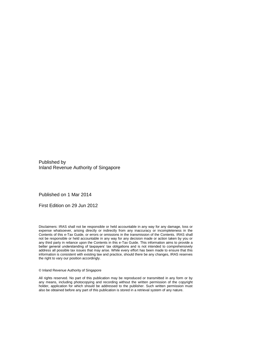Published by Inland Revenue Authority of Singapore

Published on 1 Mar 2014

First Edition on 29 Jun 2012

Disclaimers: IRAS shall not be responsible or held accountable in any way for any damage, loss or expense whatsoever, arising directly or indirectly from any inaccuracy or incompleteness in the Contents of this e-Tax Guide, or errors or omissions in the transmission of the Contents. IRAS shall not be responsible or held accountable in any way for any decision made or action taken by you or any third party in reliance upon the Contents in this e-Tax Guide. This information aims to provide a better general understanding of taxpayers' tax obligations and is not intended to comprehensively address all possible tax issues that may arise. While every effort has been made to ensure that this information is consistent with existing law and practice, should there be any changes, IRAS reserves the right to vary our position accordingly.

© Inland Revenue Authority of Singapore

All rights reserved. No part of this publication may be reproduced or transmitted in any form or by any means, including photocopying and recording without the written permission of the copyright holder, application for which should be addressed to the publisher. Such written permission must also be obtained before any part of this publication is stored in a retrieval system of any nature.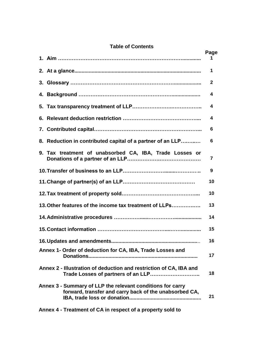# **Table of Contents**

|                                                                                                                      | Page         |
|----------------------------------------------------------------------------------------------------------------------|--------------|
|                                                                                                                      |              |
|                                                                                                                      | 1            |
|                                                                                                                      | $\mathbf{2}$ |
|                                                                                                                      | 4            |
|                                                                                                                      | 4            |
|                                                                                                                      | 4            |
|                                                                                                                      | 6            |
| 8. Reduction in contributed capital of a partner of an LLP                                                           | 6            |
| 9. Tax treatment of unabsorbed CA, IBA, Trade Losses or                                                              | 7            |
|                                                                                                                      | 9            |
|                                                                                                                      | 10           |
|                                                                                                                      | 10           |
| 13. Other features of the income tax treatment of LLPs                                                               | 13           |
|                                                                                                                      | 14           |
|                                                                                                                      | 15           |
|                                                                                                                      | 16           |
| Annex 1- Order of deduction for CA, IBA, Trade Losses and                                                            | 17           |
| Annex 2 - Illustration of deduction and restriction of CA, IBA and<br>Trade Losses of partners of an LLP             | 18           |
| Annex 3 - Summary of LLP the relevant conditions for carry<br>forward, transfer and carry back of the unabsorbed CA, | 21           |

**Annex 4 - [Treatment of CA in respect of a property sold to](#page-26-0)**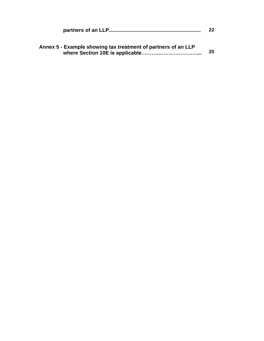|                                                               | 22 |
|---------------------------------------------------------------|----|
| Annex 5 - Example showing tax treatment of partners of an LLP | 25 |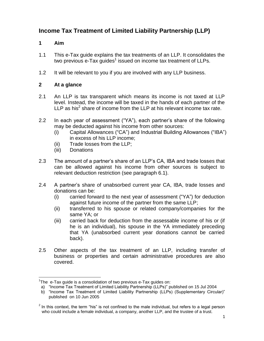# **Income Tax Treatment of Limited Liability Partnership (LLP)**

#### <span id="page-4-0"></span>**1 Aim**

- 1.1 This e-Tax guide explains the tax treatments of an LLP. It consolidates the two previous e-Tax guides<sup>1</sup> issued on income tax treatment of LLPs.
- 1.2 It will be relevant to you if you are involved with any LLP business.

#### <span id="page-4-1"></span>**2 At a glance**

- 2.1 An LLP is tax transparent which means its income is not taxed at LLP level. Instead, the income will be taxed in the hands of each partner of the LLP as his<sup>2</sup> share of income from the LLP at his relevant income tax rate.
- 2.2 In each year of assessment ("YA"), each partner's share of the following may be deducted against his income from other sources:
	- (i) Capital Allowances ("CA") and Industrial Building Allowances ("IBA") in excess of his LLP income;
	- (ii) Trade losses from the LLP;
	- (iii) Donations
- 2.3 The amount of a partner's share of an LLP's CA, IBA and trade losses that can be allowed against his income from other sources is subject to relevant deduction restriction (see paragraph 6.1).
- 2.4 A partner's share of unabsorbed current year CA, IBA, trade losses and donations can be:
	- (i) carried forward to the next year of assessment ("YA") for deduction against future income of the partner from the same LLP;
	- (ii) transferred to his spouse or related company/companies for the same YA; or
	- (iii) carried back for deduction from the assessable income of his or (if he is an individual), his spouse in the YA immediately preceding that YA (unabsorbed current year donations cannot be carried back).
- 2.5 Other aspects of the tax treatment of an LLP, including transfer of business or properties and certain administrative procedures are also covered.

 $\overline{a}$ <sup>1</sup>The e-Tax guide is a consolidation of two previous e-Tax guides on:

a) "Income Tax Treatment of Limited Liability Partnership (LLPs)" published on 15 Jul 2004

b) "Income Tax Treatment of Limited Liability Partnership (LLPs) (Supplementary Circular)" published on 10 Jun 2005

 $2$  In this context, the term "his" is not confined to the male individual, but refers to a legal person who could include a female individual, a company, another LLP, and the trustee of a trust.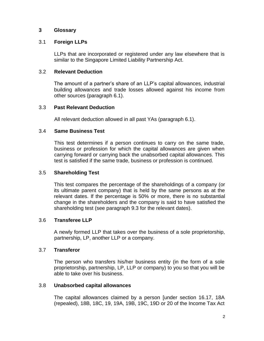#### <span id="page-5-0"></span>**3 Glossary**

#### 3.1 **Foreign LLPs**

LLPs that are incorporated or registered under any law elsewhere that is similar to the Singapore Limited Liability Partnership Act.

#### 3.2 **Relevant Deduction**

The amount of a partner's share of an LLP's capital allowances, industrial building allowances and trade losses allowed against his income from other sources (paragraph 6.1).

#### 3.3 **Past Relevant Deduction**

All relevant deduction allowed in all past YAs (paragraph 6.1).

#### 3.4 **Same Business Test**

This test determines if a person continues to carry on the same trade, business or profession for which the capital allowances are given when carrying forward or carrying back the unabsorbed capital allowances. This test is satisfied if the same trade, business or profession is continued.

#### 3.5 **Shareholding Test**

This test compares the percentage of the shareholdings of a company (or its ultimate parent company) that is held by the same persons as at the relevant dates. If the percentage is 50% or more, there is no substantial change in the shareholders and the company is said to have satisfied the shareholding test (see paragraph 9.3 for the relevant dates).

#### 3.6 **Transferee LLP**

A newly formed LLP that takes over the business of a sole proprietorship, partnership, LP, another LLP or a company.

#### 3.7 **Transferor**

The person who transfers his/her business entity (in the form of a sole proprietorship, partnership, LP, LLP or company) to you so that you will be able to take over his business.

#### 3.8 **Unabsorbed capital allowances**

The capital allowances claimed by a person [under section 16.17, 18A (repealed), 18B, 18C, 19, 19A, 19B, 19C, 19D or 20 of the Income Tax Act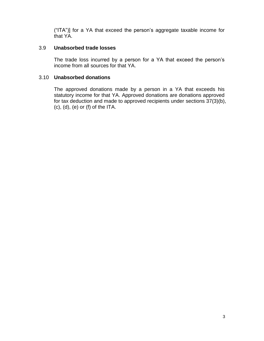("ITA")] for a YA that exceed the person's aggregate taxable income for that YA.

#### 3.9 **Unabsorbed trade losses**

The trade loss incurred by a person for a YA that exceed the person's income from all sources for that YA.

#### 3.10 **Unabsorbed donations**

The approved donations made by a person in a YA that exceeds his statutory income for that YA. Approved donations are donations approved for tax deduction and made to approved recipients under sections 37(3)(b),  $(c)$ ,  $(d)$ ,  $(e)$  or  $(f)$  of the ITA.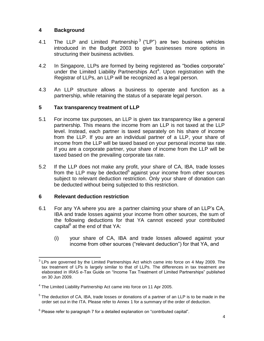# <span id="page-7-0"></span>**4 Background**

- 4.1 The LLP and Limited Partnership<sup>3</sup> ("LP") are two business vehicles introduced in the Budget 2003 to give businesses more options in structuring their business activities.
- 4.2 In Singapore, LLPs are formed by being registered as "bodies corporate" under the Limited Liability Partnerships  $Act<sup>4</sup>$ . Upon registration with the Registrar of LLPs, an LLP will be recognized as a legal person.
- 4.3 An LLP structure allows a business to operate and function as a partnership, while retaining the status of a separate legal person.

# <span id="page-7-1"></span>**5 Tax transparency treatment of LLP**

- 5.1 For income tax purposes, an LLP is given tax transparency like a general partnership. This means the income from an LLP is not taxed at the LLP level. Instead, each partner is taxed separately on his share of income from the LLP. If you are an individual partner of a LLP, your share of income from the LLP will be taxed based on your personal income tax rate. If you are a corporate partner, your share of income from the LLP will be taxed based on the prevailing corporate tax rate.
- 5.2 If the LLP does not make any profit, your share of CA, IBA, trade losses from the LLP may be deducted<sup>5</sup> against your income from other sources subject to relevant deduction restriction. Only your share of donation can be deducted without being subjected to this restriction.

# <span id="page-7-2"></span>**6 Relevant deduction restriction**

- 6.1 For any YA where you are a partner claiming your share of an LLP's CA, IBA and trade losses against your income from other sources, the sum of the following deductions for that YA cannot exceed your contributed capital<sup>6</sup> at the end of that YA:
	- (i) your share of CA, IBA and trade losses allowed against your income from other sources ("relevant deduction") for that YA, and

**EXECUTE:**<br><sup>3</sup> LPs are governed by the Limited Partnerships Act which came into force on 4 May 2009. The tax treatment of LPs is largely similar to that of LLPs. The differences in tax treatment are elaborated in IRAS e-Tax Guide on "Income Tax Treatment of Limited Partnerships" published on 30 Jun 2009.

<sup>&</sup>lt;sup>4</sup> The Limited Liability Partnership Act came into force on 11 Apr 2005.

 $5$  The deduction of CA, IBA, trade losses or donations of a partner of an LLP is to be made in the order set out in the ITA. Please refer to Annex 1 for a summary of the order of deduction.

 $^6$  Please refer to paragraph 7 for a detailed explanation on "contributed capital".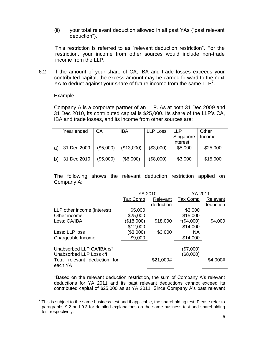(ii) your total relevant deduction allowed in all past YAs ("past relevant deduction").

This restriction is referred to as "relevant deduction restriction". For the restriction, your income from other sources would include non-trade income from the LLP.

6.2 If the amount of your share of CA, IBA and trade losses exceeds your contributed capital, the excess amount may be carried forward to the next YA to deduct against your share of future income from the same  $LLP<sup>7</sup>$ .

#### Example

Company A is a corporate partner of an LLP. As at both 31 Dec 2009 and 31 Dec 2010, its contributed capital is \$25,000. Its share of the LLP's CA, IBA and trade losses, and its income from other sources are:

|    | Year ended  | СA        | <b>IBA</b> | <b>LLP Loss</b> | IIP       | Other    |
|----|-------------|-----------|------------|-----------------|-----------|----------|
|    |             |           |            |                 | Singapore | Income   |
|    |             |           |            |                 | Interest  |          |
| a) | 31 Dec 2009 | (\$5,000) | (\$13,000) | (\$3,000)       | \$5,000   | \$25,000 |
|    |             |           |            |                 |           |          |
| b) | 31 Dec 2010 | (\$5,000) | (\$6,000)  | (\$8,000)       | \$3,000   | \$15,000 |
|    |             |           |            |                 |           |          |

The following shows the relevant deduction restriction applied on Company A:

|                                                      | YA 2010    |           | YA 2011                |           |
|------------------------------------------------------|------------|-----------|------------------------|-----------|
|                                                      | Tax Comp   | Relevant  | Tax Comp               | Relevant  |
|                                                      |            | deduction |                        | deduction |
| LLP other income (interest)                          | \$5,000    |           | \$3,000                |           |
| Other income                                         | \$25,000   |           | \$15,000               |           |
| Less: CA/IBA                                         | (\$18,000) | \$18,000  | $*(\$4,000)$           | \$4,000   |
|                                                      | \$12,000   |           | \$14,000               |           |
| Less: LLP loss                                       | (\$3,000)  | \$3,000   | <b>NA</b>              |           |
| Chargeable Income                                    | \$9,000    |           | \$14,000               |           |
| Unabsorbed LLP CA/IBA c/f<br>Unabsorbed LLP Loss c/f |            |           | (\$7,000)<br>(\$8,000) |           |
| Total relevant deduction for<br>each YA              |            | \$21,000# |                        | \$4,000#  |

\*Based on the relevant deduction restriction, the sum of Company A's relevant deductions for YA 2011 and its past relevant deductions cannot exceed its contributed capital of \$25,000 as at YA 2011. Since Company A's past relevant

THE THIS INCOCLETT THE SAMILY THE SAMILY THE THIS INTERTS THE STATE THIS IS Subject to the same business test and if applicable, the shareholding test. Please refer to paragraphs 9.2 and 9.3 for detailed explanations on the same business test and shareholding test respectively.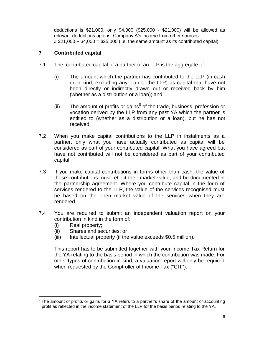deductions is \$21,000, only \$4,000 (\$25,000 - \$21,000) will be allowed as relevant deductions against Company A's income from other sources.  $\#$  \$21,000 + \$4,000 = \$25,000 (i.e. the same amount as its contributed capital)

#### <span id="page-9-0"></span>**7 Contributed capital**

- 7.1 The contributed capital of a partner of an LLP is the aggregate of
	- (i) The amount which the partner has contributed to the LLP (in cash or in kind, excluding any loan to the LLP) as capital that have not been directly or indirectly drawn out or received back by him (whether as a distribution or a loan); and
	- (ii) The amount of profits or gains<sup>8</sup> of the trade, business, profession or vocation derived by the LLP from any past YA which the partner is entitled to (whether as a distribution or a loan), but he has not received.
- 7.2 When you make capital contributions to the LLP in instalments as a partner, only what you have actually contributed as capital will be considered as part of your contributed capital. What you have agreed but have not contributed will not be considered as part of your contributed capital.
- 7.3 If you make capital contributions in forms other than cash, the value of these contributions must reflect their market value, and be documented in the partnership agreement. Where you contribute capital in the form of services rendered to the LLP, the value of the services recognised must be based on the open market value of the services when they are rendered.
- 7.4 You are required to submit an independent valuation report on your contribution in kind in the form of:
	- (i) Real property;
	- (ii) Shares and securities; or
	- (iii) Intellectual property (if the value exceeds \$0.5 million).

This report has to be submitted together with your Income Tax Return for the YA relating to the basis period in which the contribution was made. For other types of contribution in kind, a valuation report will only be required when requested by the Comptroller of Income Tax ("CIT").

 8 The amount of profits or gains for a YA refers to a partner's share of the amount of accounting profit as reflected in the income statement of the LLP for the basis period relating to the YA.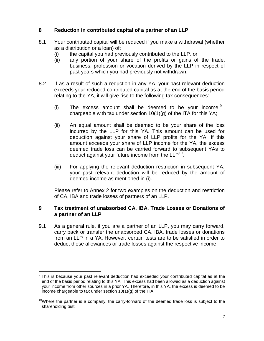# <span id="page-10-0"></span>**8 Reduction in contributed capital of a partner of an LLP**

- 8.1 Your contributed capital will be reduced if you make a withdrawal (whether as a distribution or a loan) of:
	- (i) the capital you had previously contributed to the LLP, or
	- (ii) any portion of your share of the profits or gains of the trade, business, profession or vocation derived by the LLP in respect of past years which you had previously not withdrawn.
- 8.2 If as a result of such a reduction in any YA, your past relevant deduction exceeds your reduced contributed capital as at the end of the basis period relating to the YA, it will give rise to the following tax consequences:
	- (i) The excess amount shall be deemed to be your income  $9$ , chargeable with tax under section  $10(1)(g)$  of the ITA for this YA;
	- (ii) An equal amount shall be deemed to be your share of the loss incurred by the LLP for this YA. This amount can be used for deduction against your share of LLP profits for the YA. If this amount exceeds your share of LLP income for the YA, the excess deemed trade loss can be carried forward to subsequent YAs to deduct against your future income from the  $LLP^{10}$ .
	- (iii) For applying the relevant deduction restriction in subsequent YA, your past relevant deduction will be reduced by the amount of deemed income as mentioned in (i).

Please refer to Annex 2 for two examples on the deduction and restriction of CA, IBA and trade losses of partners of an LLP.

#### <span id="page-10-1"></span>**9 Tax treatment of unabsorbed CA, IBA, Trade Losses or Donations of a partner of an LLP**

9.1 As a general rule, if you are a partner of an LLP, you may carry forward, carry back or transfer the unabsorbed CA, IBA, trade losses or donations from an LLP in a YA. However, certain tests are to be satisfied in order to deduct these allowances or trade losses against the respective income.

 $\overline{a}$ 9 This is because your past relevant deduction had exceeded your contributed capital as at the end of the basis period relating to this YA. This excess had been allowed as a deduction against your income from other sources in a prior YA. Therefore, in this YA, the excess is deemed to be income chargeable to tax under section 10(1)(g) of the ITA.

 $10$ Where the partner is a company, the carry-forward of the deemed trade loss is subject to the shareholding test.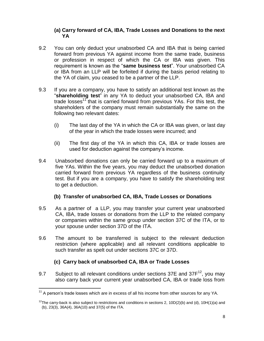#### **(a) Carry forward of CA, IBA, Trade Losses and Donations to the next YA**

- 9.2 You can only deduct your unabsorbed CA and IBA that is being carried forward from previous YA against income from the same trade, business or profession in respect of which the CA or IBA was given. This requirement is known as the "**same business test**". Your unabsorbed CA or IBA from an LLP will be forfeited if during the basis period relating to the YA of claim, you ceased to be a partner of the LLP.
- 9.3 If you are a company, you have to satisfy an additional test known as the "**shareholding test**" in any YA to deduct your unabsorbed CA, IBA and trade losses<sup>11</sup> that is carried forward from previous YAs. For this test, the shareholders of the company must remain substantially the same on the following two relevant dates:
	- (i) The last day of the YA in which the CA or IBA was given, or last day of the year in which the trade losses were incurred; and
	- (ii) The first day of the YA in which this CA, IBA or trade losses are used for deduction against the company's income.
- 9.4 Unabsorbed donations can only be carried forward up to a maximum of five YAs. Within the five years, you may deduct the unabsorbed donation carried forward from previous YA regardless of the business continuity test. But if you are a company, you have to satisfy the shareholding test to get a deduction.

# **(b) Transfer of unabsorbed CA, IBA, Trade Losses or Donations**

- 9.5 As a partner of a LLP, you may transfer your current year unabsorbed CA, IBA, trade losses or donations from the LLP to the related company or companies within the same group under section 37C of the ITA, or to your spouse under section 37D of the ITA.
- 9.6 The amount to be transferred is subject to the relevant deduction restriction (where applicable) and all relevant conditions applicable to such transfer as spelt out under sections 37C or 37D.

# **(c) Carry back of unabsorbed CA, IBA or Trade Losses**

9.7 Subject to all relevant conditions under sections 37E and  $37F^{12}$ , you may also carry back your current year unabsorbed CA, IBA or trade loss from

 $\overline{a}$  $11$  A person's trade losses which are in excess of all his income from other sources for any YA.

<sup>&</sup>lt;sup>12</sup>The carry-back is also subject to restrictions and conditions in sections 2, 10D(2)(b) and (d), 10H(1)(a) and (b), 23(3), 36A(4), 36A(10) and 37(5) of the ITA.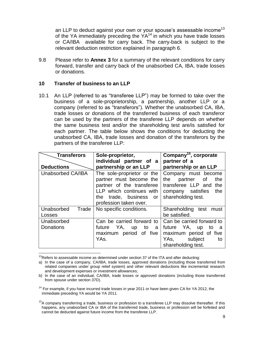an LLP to deduct against your own or your spouse's assessable income<sup>13</sup> of the YA immediately preceding the  $YA^{14}$  in which you have trade losses or CA/IBA available for carry back. The carry-back is subject to the relevant deduction restriction explained in paragraph 6.

9.8 Please refer to **Annex 3** for a summary of the relevant conditions for carry forward, transfer and carry back of the unabsorbed CA, IBA, trade losses or donations.

#### <span id="page-12-0"></span>**10 Transfer of business to an LLP**

10.1 An LLP (referred to as "transferee LLP") may be formed to take over the business of a sole-proprietorship, a partnership, another LLP or a company (referred to as "transferors"). Whether the unabsorbed CA, IBA, trade losses or donations of the transferred business of each transferor can be used by the partners of the transferee LLP depends on whether the same business test and/or the shareholding test are/is satisfied for each partner. The table below shows the conditions for deducting the unabsorbed CA, IBA, trade losses and donation of the transferors by the partners of the transferee LLP:

| <b>Transferors</b>  | Sole-proprietor,            | Company <sup>15</sup> , corporate |
|---------------------|-----------------------------|-----------------------------------|
|                     | individual partner of a     | partner of a                      |
| <b>Deductions</b>   | partnership or an LLP       | partnership or an LLP             |
| Unabsorbed CA/IBA   | The sole-proprietor or the  | Company must become               |
|                     | partner must become the     | the<br>the<br>partner<br>of       |
|                     | partner of the transferee   | transferee LLP and<br>the         |
|                     | LLP which continues with    | company satisfies the             |
|                     | the trade, business or      | shareholding test.                |
|                     | profession taken over.      |                                   |
| Unabsorbed<br>Trade | No specific conditions.     | Shareholding test must            |
| Losses              |                             | be satisfied.                     |
| Unabsorbed          | Can be carried forward to   | Can be carried forward to         |
| <b>Donations</b>    | YA,<br>future<br>up to<br>a | future YA, up to<br>a             |
|                     | period of five<br>maximum   | maximum period of five            |
|                     | YAs.                        | subject<br>YAs,<br>to             |
|                     |                             | shareholding test.                |

 $\overline{a}$  $13$ Refers to assessable income as determined under section 37 of the ITA and after deducting:

a) In the case of a company, CA/IBA, trade losses, approved donations (including those transferred from related companies under group relief system) and other relevant deductions like incremental research and development expenses or investment allowances;

b) In the case of an individual, CA/IBA, trade losses or approved donations (including those transferred from spouse under section 37D).

<sup>&</sup>lt;sup>14</sup> For example, if you have incurred trade losses in year 2011 or have been given CA for YA 2012, the immediate preceding YA would be YA 2011.

<sup>&</sup>lt;sup>15</sup>A company transferring a trade, business or profession to a transferee LLP may dissolve thereafter. If this happens, any unabsorbed CA or IBA of the transferred trade, business or profession will be forfeited and cannot be deducted against future income from the transferee LLP.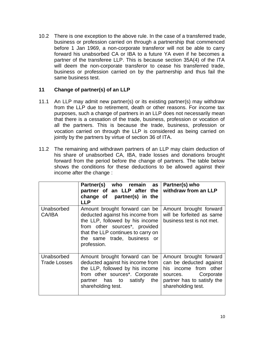10.2 There is one exception to the above rule. In the case of a transferred trade, business or profession carried on through a partnership that commenced before 1 Jan 1969, a non-corporate transferor will not be able to carry forward his unabsorbed CA or IBA to a future YA even if he becomes a partner of the transferee LLP. This is because section 35A(4) of the ITA will deem the non-corporate transferor to cease his transferred trade, business or profession carried on by the partnership and thus fail the same business test.

#### <span id="page-13-0"></span>**11 Change of partner(s) of an LLP**

- 11.1 An LLP may admit new partner(s) or its existing partner(s) may withdraw from the LLP due to retirement, death or other reasons. For income tax purposes, such a change of partners in an LLP does not necessarily mean that there is a cessation of the trade, business, profession or vocation of all the partners. This is because the trade, business, profession or vocation carried on through the LLP is considered as being carried on jointly by the partners by virtue of section 36 of ITA.
- 11.2 The remaining and withdrawn partners of an LLP may claim deduction of his share of unabsorbed CA, IBA, trade losses and donations brought forward from the period before the change of partners. The table below shows the conditions for these deductions to be allowed against their income after the change :

|                                   | Partner(s) who remain as<br>partner of an LLP after the<br>change of partner(s) in the<br><b>LLP</b>                                                                                                                                   | Partner(s) who<br>withdraw from an LLP                                                                                                               |
|-----------------------------------|----------------------------------------------------------------------------------------------------------------------------------------------------------------------------------------------------------------------------------------|------------------------------------------------------------------------------------------------------------------------------------------------------|
| Unabsorbed<br>CA/IBA              | Amount brought forward can be<br>deducted against his income from<br>the LLP, followed by his income<br>from other sources <sup>*</sup> , provided<br>that the LLP continues to carry on<br>the same trade, business or<br>profession. | Amount brought forward<br>will be forfeited as same<br>business test is not met.                                                                     |
| Unabsorbed<br><b>Trade Losses</b> | Amount brought forward can be<br>deducted against his income from<br>the LLP, followed by his income<br>from other sources <sup>*</sup> . Corporate<br>the<br>partner has to satisfy<br>shareholding test.                             | Amount brought forward<br>can be deducted against<br>his income from other<br>sources. Corporate<br>partner has to satisfy the<br>shareholding test. |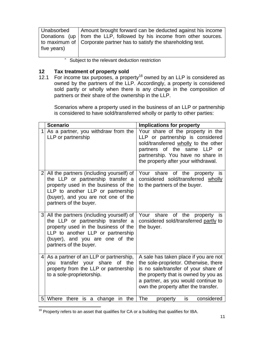| Unabsorbed  | Amount brought forward can be deducted against his income                |
|-------------|--------------------------------------------------------------------------|
|             | Donations (up   from the LLP, followed by his income from other sources. |
|             | to maximum of   Corporate partner has to satisfy the shareholding test.  |
| five years) |                                                                          |
|             |                                                                          |

Subject to the relevant deduction restriction

# <span id="page-14-0"></span>**12 Tax treatment of property sold**<br>**12.1** For income tax purposes, a proper

For income tax purposes, a property<sup>16</sup> owned by an LLP is considered as owned by the partners of the LLP. Accordingly, a property is considered sold partly or wholly when there is any change in the composition of partners or their share of the ownership in the LLP.

Scenarios where a property used in the business of an LLP or partnership is considered to have sold/transferred wholly or partly to other parties:

|                | <b>Scenario</b>                                                                                                                                                                                                             | <b>Implications for property</b>                                                                                                                                                                                                              |
|----------------|-----------------------------------------------------------------------------------------------------------------------------------------------------------------------------------------------------------------------------|-----------------------------------------------------------------------------------------------------------------------------------------------------------------------------------------------------------------------------------------------|
|                | As a partner, you withdraw from the<br>LLP or partnership                                                                                                                                                                   | Your share of the property in the<br>LLP or partnership is considered<br>sold/transferred wholly to the other<br>partners of the same<br><b>LLP</b><br><b>or</b><br>partnership. You have no share in<br>the property after your withdrawal.  |
| 2 <sub>l</sub> | All the partners (including yourself) of<br>the LLP or partnership transfer a<br>property used in the business of the<br>LLP to another LLP or partnership<br>(buyer), and you are not one of the<br>partners of the buyer. | Your share of the<br>property is<br>considered sold/transferred wholly<br>to the partners of the buyer.                                                                                                                                       |
|                | 3 All the partners (including yourself) of<br>the LLP or partnership transfer a<br>property used in the business of the<br>LLP to another LLP or partnership<br>(buyer), and you are one of the<br>partners of the buyer.   | Your share of the<br>property is<br>considered sold/transferred partly to<br>the buyer.                                                                                                                                                       |
| 4              | As a partner of an LLP or partnership,<br>transfer your share<br>of<br>the<br>you<br>property from the LLP or partnership<br>to a sole-proprietorship.                                                                      | A sale has taken place if you are not<br>the sole-proprietor. Otherwise, there<br>is no sale/transfer of your share of<br>the property that is owned by you as<br>a partner, as you would continue to<br>own the property after the transfer. |
|                | 5 Where there<br>is<br>a change in the                                                                                                                                                                                      | The<br>considered<br>is<br>property                                                                                                                                                                                                           |

 $\overline{1}$  $16$  Property refers to an asset that qualifies for CA or a building that qualifies for IBA.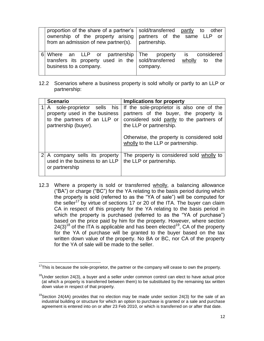| proportion of the share of a partner's   sold/transferred partly to other<br>ownership of the property arising<br>from an admission of new partner(s). | partners of the same LLP or<br>partnership.           |
|--------------------------------------------------------------------------------------------------------------------------------------------------------|-------------------------------------------------------|
| Where an LLP or partnership The property<br>transfers its property used in the sold/transferred<br>business to a company.                              | considered<br>is i<br>wholly<br>the<br>to<br>company. |

12.2 Scenarios where a business property is sold wholly or partly to an LLP or partnership:

| <b>Scenario</b>                                                                                                      | <b>Implications for property</b>                                                                                                                                                                                                               |
|----------------------------------------------------------------------------------------------------------------------|------------------------------------------------------------------------------------------------------------------------------------------------------------------------------------------------------------------------------------------------|
| A sole-proprietor sells his<br>property used in the business<br>to the partners of an LLP or<br>partnership (buyer). | If the sole-proprietor is also one of the<br>partners of the buyer, the property is<br>considered sold partly to the partners of<br>the LLP or partnership.<br>Otherwise, the property is considered sold<br>wholly to the LLP or partnership. |
| A company sells its property<br>used in the business to an LLP<br>or partnership                                     | The property is considered sold wholly to<br>the LLP or partnership.                                                                                                                                                                           |

12.3 Where a property is sold or transferred wholly, a balancing allowance ("BA") or charge ("BC") for the YA relating to the basis period during which the property is sold (referred to as the "YA of sale") will be computed for the seller<sup>17</sup> by virtue of sections 17 or 20 of the ITA. The buyer can claim CA in respect of this property for the YA relating to the basis period in which the property is purchased (referred to as the "YA of purchase") based on the price paid by him for the property. However, where section  $24(3)^{18}$  of the ITA is applicable and has been elected<sup>19</sup>, CA of the property for the YA of purchase will be granted to the buyer based on the tax written down value of the property. No BA or BC, nor CA of the property for the YA of sale will be made to the seller.

 $\overline{a}$ 

 $17$ This is because the sole-proprietor, the partner or the company will cease to own the property.

 $18$ Under section 24(3), a buyer and a seller under common control can elect to have actual price (at which a property is transferred between them) to be substituted by the remaining tax written down value in respect of that property.

<sup>&</sup>lt;sup>19</sup>Section 24(4A) provides that no election may be made under section 24(3) for the sale of an industrial building or structure for which an option to purchase is granted or a sale and purchase agreement is entered into on or after 23 Feb 2010, or which is transferred on or after that date.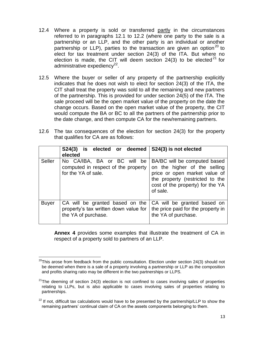- 12.4 Where a property is sold or transferred partly in the circumstances referred to in paragraphs 12.1 to 12.2 (where one party to the sale is a partnership or an LLP, and the other party is an individual or another partnership or LLP), parties to the transaction are given an option<sup>20</sup> to elect for tax treatment under section 24(3) of the ITA. But where no election is made, the CIT will deem section  $24(3)$  to be elected<sup>21</sup> for administrative expediency<sup>22</sup>.
- 12.5 Where the buyer or seller of any property of the partnership explicitly indicates that he does not wish to elect for section 24(3) of the ITA, the CIT shall treat the property was sold to all the remaining and new partners of the partnership. This is provided for under section 24(5) of the ITA. The sale proceed will be the open market value of the property on the date the change occurs. Based on the open market value of the property, the CIT would compute the BA or BC to all the partners of the partnership prior to the date change, and then compute CA for the new/remaining partners.
- 12.6 The tax consequences of the election for section 24(3) for the property that qualifies for CA are as follows:

|               | S24(3) is elected or deemed<br>elected                                                          | S24(3) is not elected                                                                                                                                                            |
|---------------|-------------------------------------------------------------------------------------------------|----------------------------------------------------------------------------------------------------------------------------------------------------------------------------------|
| <b>Seller</b> | No CA/IBA, BA or BC will be<br>computed in respect of the property<br>for the YA of sale.       | BA/BC will be computed based<br>on the higher of the selling<br>price or open market value of<br>the property (restricted to the<br>cost of the property) for the YA<br>of sale. |
| <b>Buyer</b>  | CA will be granted based on the<br>property's tax written down value for<br>the YA of purchase. | CA will be granted based on<br>the price paid for the property in<br>the YA of purchase.                                                                                         |

**Annex 4** provides some examples that illustrate the treatment of CA in respect of a property sold to partners of an LLP.

 $\overline{a}$  $^{20}$ This arose from feedback from the public consultation. Election under section 24(3) should not be deemed when there is a sale of a property involving a partnership or LLP as the composition and profits sharing ratio may be different in the two partnerships or LLPS.

 $2^{21}$ The deeming of section 24(3) election is not confined to cases involving sales of properties relating to LLPs, but is also applicable to cases involving sales of properties relating to partnerships.

 $22$  If not, difficult tax calculations would have to be presented by the partnership/LLP to show the remaining partners' continual claim of CA on the assets components belonging to them.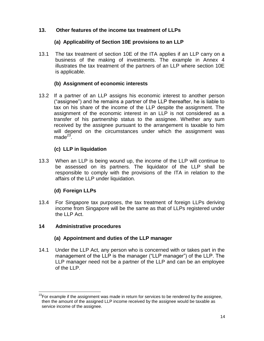# **13. Other features of the income tax treatment of LLPs**

# <span id="page-17-0"></span>**(a) Applicability of Section 10E provisions to an LLP**

13.1 The tax treatment of section 10E of the ITA applies if an LLP carry on a business of the making of investments. The example in Annex 4 illustrates the tax treatment of the partners of an LLP where section 10E is applicable.

# **(b) Assignment of economic interests**

13.2 If a partner of an LLP assigns his economic interest to another person ("assignee") and he remains a partner of the LLP thereafter, he is liable to tax on his share of the income of the LLP despite the assignment. The assignment of the economic interest in an LLP is not considered as a transfer of his partnership status to the assignee. Whether any sum received by the assignee pursuant to the arrangement is taxable to him will depend on the circumstances under which the assignment was made $^{23}$ .

# **(c) LLP in liquidation**

13.3 When an LLP is being wound up, the income of the LLP will continue to be assessed on its partners. The liquidator of the LLP shall be responsible to comply with the provisions of the ITA in relation to the affairs of the LLP under liquidation.

# **(d) Foreign LLPs**

13.4 For Singapore tax purposes, the tax treatment of foreign LLPs deriving income from Singapore will be the same as that of LLPs registered under the LLP Act.

# <span id="page-17-1"></span>**14 Administrative procedures**

# **(a) Appointment and duties of the LLP manager**

14.1 Under the LLP Act, any person who is concerned with or takes part in the management of the LLP is the manager ("LLP manager") of the LLP. The LLP manager need not be a partner of the LLP and can be an employee of the LLP.

 $\overline{a}$  $^{23}$ For example if the assignment was made in return for services to be rendered by the assignee, then the amount of the assigned LLP income received by the assignee would be taxable as service income of the assignee.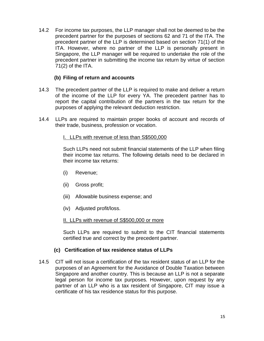14.2 For income tax purposes, the LLP manager shall not be deemed to be the precedent partner for the purposes of sections 62 and 71 of the ITA. The precedent partner of the LLP is determined based on section 71(1) of the ITA. However, where no partner of the LLP is personally present in Singapore, the LLP manager will be required to undertake the role of the precedent partner in submitting the income tax return by virtue of section 71(2) of the ITA.

# **(b) Filing of return and accounts**

- 14.3 The precedent partner of the LLP is required to make and deliver a return of the income of the LLP for every YA. The precedent partner has to report the capital contribution of the partners in the tax return for the purposes of applying the relevant deduction restriction.
- 14.4 LLPs are required to maintain proper books of account and records of their trade, business, profession or vocation.

#### I. LLPs with revenue of less than S\$500,000

Such LLPs need not submit financial statements of the LLP when filing their income tax returns. The following details need to be declared in their income tax returns:

- (i) Revenue;
- (ii) Gross profit;
- (iii) Allowable business expense; and
- (iv) Adjusted profit/loss.

#### II. LLPs with revenue of S\$500,000 or more

Such LLPs are required to submit to the CIT financial statements certified true and correct by the precedent partner.

#### **(c) Certification of tax residence status of LLPs**

14.5 CIT will not issue a certification of the tax resident status of an LLP for the purposes of an Agreement for the Avoidance of Double Taxation between Singapore and another country. This is because an LLP is not a separate legal person for income tax purposes. However, upon request by any partner of an LLP who is a tax resident of Singapore, CIT may issue a certificate of his tax residence status for this purpose.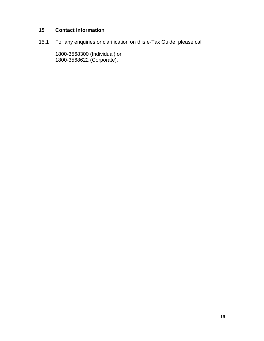# <span id="page-19-0"></span>**15 Contact information**

15.1 For any enquiries or clarification on this e-Tax Guide, please call

1800-3568300 (Individual) or 1800-3568622 (Corporate).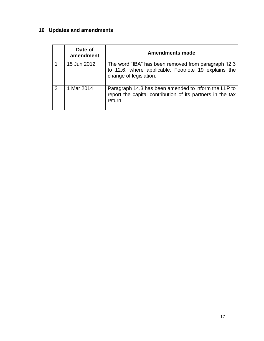# <span id="page-20-0"></span>**16 Updates and amendments**

|   | Date of<br>amendment | <b>Amendments made</b>                                                                                                               |
|---|----------------------|--------------------------------------------------------------------------------------------------------------------------------------|
|   | 15 Jun 2012          | The word "IBA" has been removed from paragraph 12.3<br>to 12.6, where applicable. Footnote 19 explains the<br>change of legislation. |
| 2 | 1 Mar 2014           | Paragraph 14.3 has been amended to inform the LLP to<br>report the capital contribution of its partners in the tax<br>return         |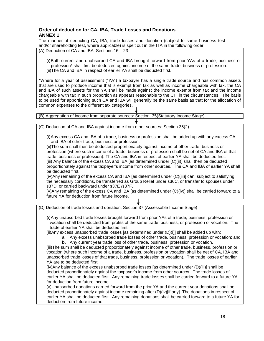#### **Order of deduction for CA, IBA, Trade Losses and Donations ANNEX 1**

<span id="page-21-0"></span>The manner of deducting CA, IBA, trade losses and donation (subject to same business test and/or shareholding test, where applicable) is spelt out in the ITA in the following order:

(A) Deduction of CA and IBA: Sections 16 – 23

(i)Both current and unabsorbed CA and IBA brought forward from prior YAs of a trade, business or profession\* shall first be deducted against income of the same trade, business or profession. (ii)The CA and IBA in respect of earlier YA shall be deducted first.

\*Where for a year of assessment ("YA") a taxpayer has a single trade source and has common assets that are used to produce income that is exempt from tax as well as income chargeable with tax, the CA and IBA of such assets for the YA shall be made against the income exempt from tax and the income chargeable with tax in such proportion as appears reasonable to the CIT in the circumstances. The basis to be used for apportioning such CA and IBA will generally be the same basis as that for the allocation of common expenses to the different tax categories.

| (B) Aggregation of income from separate sources: Section 35 (Statutory Income Stage)                                                                                                                                                                                                                                                                                                                                                                                                                                                                                                                                                                                                                                                                                                                                                                                                                                                                                                                                                                                    |  |  |  |  |  |
|-------------------------------------------------------------------------------------------------------------------------------------------------------------------------------------------------------------------------------------------------------------------------------------------------------------------------------------------------------------------------------------------------------------------------------------------------------------------------------------------------------------------------------------------------------------------------------------------------------------------------------------------------------------------------------------------------------------------------------------------------------------------------------------------------------------------------------------------------------------------------------------------------------------------------------------------------------------------------------------------------------------------------------------------------------------------------|--|--|--|--|--|
|                                                                                                                                                                                                                                                                                                                                                                                                                                                                                                                                                                                                                                                                                                                                                                                                                                                                                                                                                                                                                                                                         |  |  |  |  |  |
| (C) Deduction of CA and IBA against income from other sources: Section 35(2)                                                                                                                                                                                                                                                                                                                                                                                                                                                                                                                                                                                                                                                                                                                                                                                                                                                                                                                                                                                            |  |  |  |  |  |
| (i) Any excess CA and IBA of a trade, business or profession shall be added up with any excess CA<br>and IBA of other trade, business or profession.<br>(ii) The sum shall then be deducted proportionately against income of other trade, business or<br>profession (where such income of a trade, business or profession shall be net of CA and IBA of that<br>trade, business or profession). The CA and IBA in respect of earlier YA shall be deducted first.<br>(iii) Any balance of the excess CA and IBA [as determined under (C)(ii)] shall then be deducted<br>proportionately against the taxpayer's income from other sources. The CA and IBA of earlier YA shall<br>be deducted first.<br>(iv) Any remaining of the excess CA and IBA [as determined under (C)(iii)] can, subject to satisfying<br>the necessary conditions, be transferred as Group Relief under s36C, or transfer to spouses under<br>s37D or carried backward under s37E /s37F.<br>(v)Any remaining of the excess CA and IBA [as determined under (C)(iv)] shall be carried forward to a |  |  |  |  |  |
| future YA for deduction from future income.                                                                                                                                                                                                                                                                                                                                                                                                                                                                                                                                                                                                                                                                                                                                                                                                                                                                                                                                                                                                                             |  |  |  |  |  |

(D) Deduction of trade losses and donation: Section 37 (Assessable Income Stage) (i)Any unabsorbed trade losses brought forward from prior YAs of a trade, business, profession or vocation shall be deducted from profits of the same trade, business, or profession or vocation. The trade of earlier YA shall be deducted first. (ii)Any excess unabsorbed trade losses [as determined under (D)(i)] shall be added up with: **a.** Any excess unabsorbed trade losses of other trade, business, profession or vocation; and **b.** Any current year trade loss of other trade, business, profession or vocation. (iii)The sum shall be deducted proportionately against income of other trade, business, profession or vocation (where such income of a trade, business, profession or vocation shall be net of CA, IBA and unabsorbed trade losses of that trade, business, profession or vocation). The trade losses of earlier YA are to be deducted first. (iv)Any balance of the excess unabsorbed trade losses [as determined under (D)(iii)] shall be deducted proportionately against the taxpayer's income from other sources. The trade losses of earlier YA shall be deducted first. Any remaining trade losses shall be carried forward to a future YA for deduction from future income. (v)Unabsorbed donations carried forward from the prior YA and the current year donations shall be

deducted proportionately against income remaining after (D)(iv)[if any]. The donations in respect of earlier YA shall be deducted first. Any remaining donations shall be carried forward to a future YA for deduction from future income.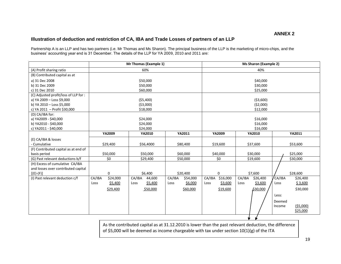#### **Illustration of deduction and restriction of CA, IBA and Trade Losses of partners of an LLP**

Partnership A is an LLP and has two partners (i.e. Mr Thomas and Ms Sharon). The principal business of the LLP is the marketing of micro-chips, and the business' accounting year end is 31 December. The details of the LLP for YA 2009, 2010 and 2011 are:

<span id="page-22-0"></span>

|                                       |                    | Mr Thomas (Example 1) |                    |                    | <b>Ms Sharon (Example 2)</b> |                     |  |  |
|---------------------------------------|--------------------|-----------------------|--------------------|--------------------|------------------------------|---------------------|--|--|
| (A) Profit sharing ratio              |                    | 60%                   |                    | 40%                |                              |                     |  |  |
| (B) Contributed capital as at         |                    |                       |                    |                    |                              |                     |  |  |
| a) 31 Dec 2008                        |                    | \$50,000              |                    | \$40,000           |                              |                     |  |  |
| b) 31 Dec 2009                        |                    | \$50,000              |                    | \$30,000           |                              |                     |  |  |
| c) 31 Dec 2010                        |                    | \$60,000              |                    | \$25,000           |                              |                     |  |  |
| (C) Adjusted profit/loss of LLP for : |                    |                       |                    |                    |                              |                     |  |  |
| a) YA 2009 - Loss \$9,000             |                    | (55,400)              |                    | ( \$3,600)         |                              |                     |  |  |
| b) YA 2010 - Loss \$5,000             |                    | (53,000)              |                    |                    | (52,000)                     |                     |  |  |
| c) YA 2011 - Profit \$30,000          |                    | \$18,000              |                    |                    | \$12,000                     |                     |  |  |
| (D) CA/IBA for:                       |                    |                       |                    |                    |                              |                     |  |  |
| a) YA2009 - \$40,000                  |                    | \$24,000              |                    |                    | \$16,000                     |                     |  |  |
| b) YA2010 - \$40,000                  |                    | \$24,000              |                    |                    | \$16,000<br>\$16,000         |                     |  |  |
| c) YA2011 - \$40,000                  |                    | \$24,000              |                    |                    |                              |                     |  |  |
|                                       | YA2009             | <b>YA2010</b>         | YA2011             | YA2009             | YA2010                       | YA2011              |  |  |
| (E) CA/IBA & losses                   |                    |                       |                    |                    |                              |                     |  |  |
| - Cumulative                          | \$29,400           | \$56,4000             | \$80,400           | \$19,600           | \$37,600                     | \$53,600            |  |  |
| (F) Contributed capital as at end of  |                    |                       |                    |                    |                              |                     |  |  |
| basis period                          | \$50,000           | \$50,000              | \$60,000           | \$40,000           | \$30,000                     | \$25,000            |  |  |
| (G) Past relevant deductions b/f      | \$0                | \$29,400              | \$50,000           | \$0                | \$19,600                     | \$30,000            |  |  |
| (H) Excess of cumulative CA/IBA       |                    |                       |                    |                    |                              |                     |  |  |
| and losses over contributed capital   |                    |                       |                    |                    |                              |                     |  |  |
| $[(E)-(F)]$                           | 0                  | \$6,400               | \$20,400           | $\mathbf 0$        | \$7,600                      | \$28,600            |  |  |
| (I) Past relevant deduction c/f       | CA/IBA<br>\$24,000 | CA/IBA<br>44,600      | CA/IBA<br>\$54,000 | \$16,000<br>CA/IBA | CA/IBA<br>\$26,400           | /CA/IBA<br>\$26,400 |  |  |
|                                       | \$5,400<br>Loss    | \$5,400<br>Loss       | \$6,000<br>Loss    | \$3,600<br>Loss    | \$3,600<br>Loss              | \$3,600<br>Loss     |  |  |
|                                       | \$29,400           | \$50,000              | \$60,000           | \$19,600           | \$30,000                     | \$30,000            |  |  |
|                                       |                    |                       |                    |                    |                              | Less:               |  |  |
|                                       |                    |                       |                    |                    |                              | Deemed              |  |  |
|                                       |                    |                       |                    |                    |                              | (55,000)<br>Income  |  |  |
|                                       |                    |                       |                    |                    |                              | \$25,000            |  |  |
|                                       |                    |                       |                    |                    |                              |                     |  |  |

As the contributed capital as at 31.12.2010 is lower than the past relevant deduction, the difference of \$5,000 will be deemed as income chargeable with tax under section 10(1)(g) of the ITA

19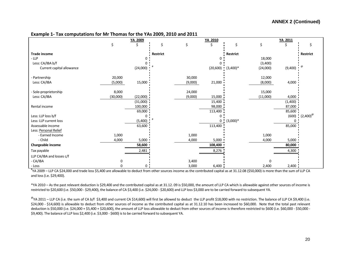#### **Example 1- Tax computations for Mr Thomas for the YAs 2009, 2010 and 2011**

|                           |          | YA 2009      |          |         | YA 2010               |            |             | YA 2011                |                                |  |
|---------------------------|----------|--------------|----------|---------|-----------------------|------------|-------------|------------------------|--------------------------------|--|
|                           |          | Ś.           | \$       | \$      | Ś                     |            | \$          |                        |                                |  |
| <b>Trade income</b>       |          |              | Restrict |         |                       | Restrict   |             |                        | Restrict                       |  |
| $-LLP$                    |          |              |          |         |                       |            | 18,000      |                        |                                |  |
| Less: CA/IBA b/f          |          |              |          |         |                       |            | (3,400)     |                        |                                |  |
| Current capital allowance |          | (24,000)     |          |         | $(20,600)$ $(3,400)*$ |            | (24,000)    | $(9,400)$ <sup>@</sup> |                                |  |
| - Partnership             | 20,000   |              |          | 30,000  |                       |            | 12,000      |                        |                                |  |
| Less: CA/IBA              | (5,000)  | 15,000       |          | (9,000) | 21,000                |            | (8,000)     | 4,000                  |                                |  |
| - Sole-proprietorship     | 8,000    |              |          | 24,000  |                       |            | 15,000      |                        |                                |  |
| Less: CA/IBA              | (30,000) | (22,000)     |          | (9,000) | 15,000                |            | (11,000)    | 4,000                  |                                |  |
|                           |          | (31,000)     |          |         | 15,400                |            |             | (1,400)                |                                |  |
| Rental income             |          | 100,000      |          |         | 98,000                |            |             | 87,000                 |                                |  |
|                           |          | 69,000       |          |         | 113,400               |            |             | 85,600                 |                                |  |
| Less: LLP loss b/f        |          |              |          |         | 0                     |            |             |                        | $(600)$ $(2,400)$ <sup>@</sup> |  |
| Less: LLP current loss    |          | (5,400)      |          |         | 0                     | $(3,000)*$ |             |                        |                                |  |
| Assessable income         |          | 63,600       |          |         | 113,400               |            |             | 85,000                 |                                |  |
| Less: Personal Relief     |          |              |          |         |                       |            |             |                        |                                |  |
| - Earned Income           | 1,000    |              |          | 1,000   |                       |            | 1,000       |                        |                                |  |
| - Child                   | 4,000    | 5,000        |          | 4,000   | 5,000                 |            | 4,000       | 5,000                  |                                |  |
| Chargeable income         |          | 58,600       |          |         | 108,400               |            |             | 80,000                 |                                |  |
| Tax payable               |          | 2,481        |          |         | 8,276                 |            |             | 4,300                  |                                |  |
| LLP CA/IBA and losses c/f |          |              |          |         |                       |            |             |                        |                                |  |
| - CA/IBA                  | ი        |              |          | 3,400   |                       |            | $\mathbf 0$ |                        |                                |  |
| - Loss                    |          | $\mathbf{0}$ |          | 3,000   | 6,400                 |            | 2,400       | 2,400                  |                                |  |

# YA 2009 – LLP CA \$24,000 and trade loss \$5,400 are allowable to deduct from other sources income as the contributed capital as at 31.12.08 (\$50,000) is more than the sum of LLP CA and loss (i.e. \$29,400).

\*YA 2010 – As the past relevant deduction is \$29,400 and the contributed capital as at 31.12. 09 is \$50,000, the amount of LLP CA which is allowable against other sources of income is restricted to \$20,600 (i.e. \$50,000 - \$29,400), the balance of CA \$3,400 (i.e. \$24,000 - \$20,600) and LLP loss \$3,000 are to be carried forward to subsequent YA.

 $^{\circ}$ YA 2011 – LLP CA (i.e. the sum of CA b/f \$3,400 and current CA \$14,600) will first be allowed to deduct the LLP profit \$18,000 with no restriction. The balance of LLP CA \$9,400 (i.e. \$24,000 - \$14,600) is allowable to deduct from other sources of income as the contributed capital as at 31.12.10 has been increased to \$60,000. Note that the total past relevant deduction is \$50,000 (i.e. \$24,000 + \$5,400 + \$20,600), the amount of LLP loss allowable to deduct from other sources of income is therefore restricted to \$600 (i.e. \$60,000 - \$50,000 - \$50,000 -\$9,400). The balance of LLP loss \$2,400 (i.e. \$3,000 - \$600) is to be carried forward to subsequent YA.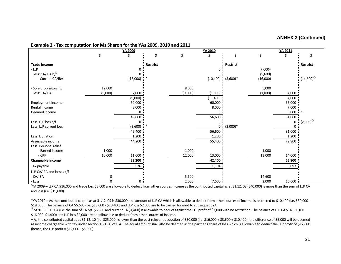#### **ANNEX 2 (Continued)**

#### **Example 2 - Tax computation for Ms Sharon for the YAs 2009, 2010 and 2011**

|                           |          | <b>YA 2009</b> |                 |         | <b>YA 2010</b>        |                 |          | YA 2011     |                           |  |
|---------------------------|----------|----------------|-----------------|---------|-----------------------|-----------------|----------|-------------|---------------------------|--|
|                           | Ś        |                | \$              | Ś       |                       | Ś               | \$       |             | Ś                         |  |
| <b>Trade Income</b>       |          |                | <b>Restrict</b> |         |                       | <b>Restrict</b> |          |             | Restrict                  |  |
| $-LLP$                    |          |                |                 |         |                       |                 | 7,000^   |             |                           |  |
| Less: CA/IBA b/f          |          |                |                 |         |                       |                 | (5,600)  |             |                           |  |
| Current CA/IBA            |          | (16,000)       |                 |         | $(10,400)$ $(5,600)*$ |                 | (16,000) |             | $(14,600)^{\circledcirc}$ |  |
| - Sole-proprietorship     | 12,000   |                |                 | 8,000   |                       |                 | 5,000    |             |                           |  |
| Less: CA/IBA              | (5,000)  | 7,000          |                 | (9,000) | (1,000)               |                 | (1,000)  | 4,000       |                           |  |
|                           |          | (9,000)        |                 |         | (11, 400)             |                 |          | 4,000       |                           |  |
| Employment income         |          | 50,000         |                 |         | 60,000                |                 |          | 65,000      |                           |  |
| Rental income             |          | 8,000          |                 |         | 8,000                 |                 |          | 7,000       |                           |  |
| Deemed income             |          | 0              |                 |         | 0                     |                 |          | $5,000 - 1$ |                           |  |
|                           |          | 49,000         |                 |         | 56,600                |                 |          | 81,000      |                           |  |
| Less: LLP loss b/f        |          | 0              |                 |         | 0                     |                 |          | 0           | $(2,000)$ <sup>@</sup>    |  |
| Less: LLP current loss    |          | (3,600)        |                 |         |                       | $0(2,000)*$     |          | 0           |                           |  |
|                           |          | 45,400         |                 |         | 56,600                |                 |          | 81,000      |                           |  |
| Less: Donation            |          | 1,200          |                 |         | 1,200                 |                 |          | 1,200       |                           |  |
| Assessable income         |          | 44,200         |                 |         | 55,400                |                 |          | 79,800      |                           |  |
| Less: Personal relief     |          |                |                 |         |                       |                 |          |             |                           |  |
| - Earned income           | 1,000    |                |                 | 1,000   |                       |                 | 1,000    |             |                           |  |
| $-CPF$                    | 10,000   | 11,000         |                 | 12,000  | 13,000                |                 | 13,000   | 14,000      |                           |  |
| Chargeable income         |          | 33,200         |                 |         | 42,400                |                 |          | 65,800      |                           |  |
| Tax payable               |          | 526            |                 |         | 1,104                 |                 |          | 3,093       |                           |  |
| LLP CA/IBA and losses c/f |          |                |                 |         |                       |                 |          |             |                           |  |
| - CA/IBA                  | $\Omega$ |                |                 | 5,600   |                       |                 | 14,600   |             |                           |  |
| - Loss                    |          | 0 <sub>1</sub> |                 | 2,000   | 7,600                 |                 | 2,000    | 16,600      |                           |  |

# YA 2009 – LLP CA \$16,000 and trade loss \$3,600 are allowable to deduct from other sources income as the contributed capital as at 31.12. 08 (\$40,000) is more than the sum of LLP CA and loss (i.e. \$19,600).

\*YA 2010 – As the contributed capital as at 31.12. 09 is \$30,000, the amount of LLP CA which is allowable to deduct from other sources of income is restricted to \$10,400 (i.e. \$30,000 - \$19,600). The balance of CA \$5,600 (i.e. \$16,000 - \$10,400) and LLP loss \$2,000 are to be carried forward to subsequent YA.

 $^{\circ}$ YA2011 – LLP CA (i.e. the sum of CA b/f \$5,600 and current CA \$1,400) is allowable to deduct against the LLP profit of \$7,000 with no restriction. The balance of LLP CA \$14,600 (i.e. \$16,000 -\$1,400) and LLP loss \$2,000 are not allowable to deduct from other sources of income.

^ As the contributed capital as at 31.12. 10 (i.e. \$25,000) is lower than the past relevant deduction of \$30,000 (i.e. \$16,000 + \$3,600 + \$10,400); the difference of \$5,000 will be deemed as income chargeable with tax under section 10(1)(g) of ITA. The equal amount shall also be deemed as the partner's share of loss which is allowable to deduct the LLP profit of \$12,000 (hence, the LLP profit = \$12,000 - \$5,000).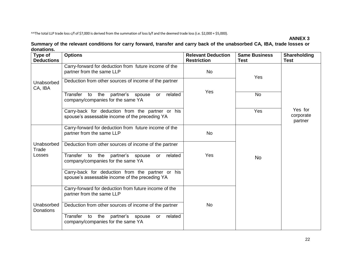^^The total LLP trade loss c/f of \$7,000 is derived from the summation of loss b/f and the deemed trade loss (i.e. \$2,000 + \$5,000).

#### **ANNEX 3**

#### **Summary of the relevant conditions for carry forward, transfer and carry back of the unabsorbed CA, IBA, trade losses or donations.**

<span id="page-25-0"></span>

| Type of<br><b>Deductions</b>   | <b>Options</b>                                                                                     | <b>Relevant Deduction</b><br><b>Restriction</b> | <b>Same Business</b><br>Test | Shareholding<br>Test            |  |  |
|--------------------------------|----------------------------------------------------------------------------------------------------|-------------------------------------------------|------------------------------|---------------------------------|--|--|
|                                | Carry-forward for deduction from future income of the<br>partner from the same LLP                 | No                                              | Yes                          |                                 |  |  |
| Unabsorbed<br>CA, IBA          | Deduction from other sources of income of the partner                                              | Yes                                             |                              |                                 |  |  |
|                                | Transfer to<br>related<br>the partner's spouse<br>or<br>company/companies for the same YA          |                                                 | <b>No</b>                    |                                 |  |  |
|                                | Carry-back for deduction from the partner or his<br>spouse's assessable income of the preceding YA |                                                 | Yes                          | Yes for<br>corporate<br>partner |  |  |
|                                | Carry-forward for deduction from future income of the<br>partner from the same LLP                 | <b>No</b>                                       |                              |                                 |  |  |
| Unabsorbed<br>Trade            | Deduction from other sources of income of the partner                                              |                                                 |                              |                                 |  |  |
| Losses                         | Transfer to the partner's spouse or<br>related<br>company/companies for the same YA                | Yes                                             | <b>No</b>                    |                                 |  |  |
|                                | Carry-back for deduction from the partner or his<br>spouse's assessable income of the preceding YA |                                                 |                              |                                 |  |  |
|                                | Carry-forward for deduction from future income of the<br>partner from the same LLP                 |                                                 |                              |                                 |  |  |
| Unabsorbed<br><b>Donations</b> | Deduction from other sources of income of the partner                                              | <b>No</b>                                       |                              |                                 |  |  |
|                                | related<br>Transfer to the partner's spouse<br>or<br>company/companies for the same YA             |                                                 |                              |                                 |  |  |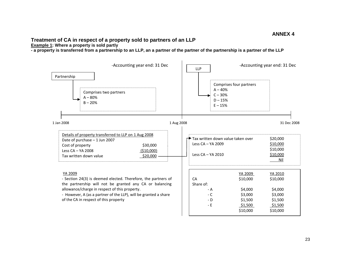#### **Treatment of CA in respect of a property sold to partners of an LLP**

**Example 1: Where a property is sold partly**

**- a property is transferred from a partnership to an LLP, an a partner of the partner of the partnership is a partner of the LLP** 

<span id="page-26-0"></span>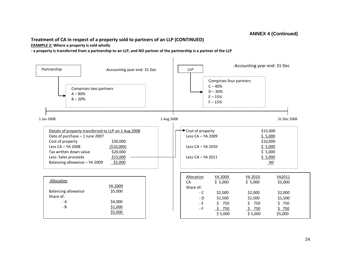#### **ANNEX 4 (Continued)**

# **Treatment of CA in respect of a property sold to partners of an LLP (CONTINUED)**

#### **EXAMPLE 2: Where a property is sold wholly**

**- a property is transferred from a partnership to an LLP, and NO partner of the partnership is a partner of the LLP**

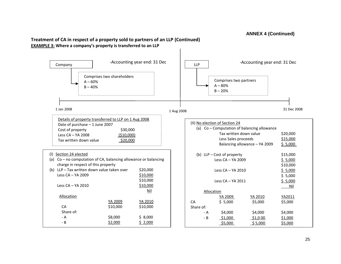#### **ANNEX 4 (Continued)**

#### **Treatment of CA in respect of a property sold to partners of an LLP (Continued) EXAMPLE 3: Where a company's property is transferred to an LLP**

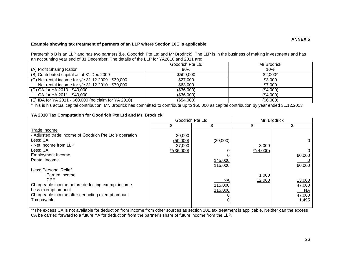#### **Example showing tax treatment of partners of an LLP where Section 10E is applicable**

Partnership B is an LLP and has two partners (i.e. Goodrich Pte Ltd and Mr Brodrick). The LLP is in the business of making investments and has an accounting year end of 31 December. The details of the LLP for YA2010 and 2011 are:

|                                                       | Goodrich Pte Ltd | Mr Brodrick |
|-------------------------------------------------------|------------------|-------------|
| (A) Profit Sharing Ration                             | 90%              | 10%         |
| (B) Contributed capital as at 31 Dec 2009             | \$500,000        | $$2,000*$   |
| (C) Net rental income for y/e 31.12.2009 - \$30,000   | \$27,000         | \$3,000     |
| Net rental income for y/e 31.12.2010 - \$70,000       | \$63,000         | \$7,000     |
| (D) CA for YA 2010 - \$40,000                         | (\$36,000)       | (\$4,000)   |
| CA for YA 2011 - \$40,000                             | (\$36,000)       | (\$4,000)   |
| (E) IBA for YA 2011 - \$60,000 (no claim for YA 2010) | (\$54,000)       | (\$6,000)   |

\*This is his actual capital contribution. Mr. Brodrick has committed to contribute up to \$50,000 as capital contribution by year ended 31.12.2013

#### <span id="page-29-0"></span>**YA 2010 Tax Computation for Goodrich Pte Ltd and Mr. Brodrick**

|                                                         |               | Goodrich Pte Ltd | Mr. Brodrick |          |  |
|---------------------------------------------------------|---------------|------------------|--------------|----------|--|
|                                                         |               |                  |              |          |  |
| Trade Income                                            |               |                  |              |          |  |
| - Adjusted trade income of Goodrich Pte Ltd's operation | 20,000        |                  |              |          |  |
| Less: CA                                                | (50,000)      | (30,000)         |              | $\Omega$ |  |
| - Net Income from LLP                                   | 27,000        |                  | 3,000        |          |  |
| Less: CA                                                | $**$ (36,000) |                  | $**$ (4,000) |          |  |
| <b>Employment Income</b>                                |               |                  |              | 60,000   |  |
| Rental Income                                           |               | 145,000          |              |          |  |
|                                                         |               | 115,000          |              | 60,000   |  |
| Less: Personal Relief                                   |               |                  |              |          |  |
| Earned income                                           |               |                  | 1,000        |          |  |
| <b>CPF</b>                                              |               | NA               | 12,000       | 13,000   |  |
| Chargeable income before deducting exempt income        |               | 115,000          |              | 47,000   |  |
| Less exempt amount                                      |               | 115,000          |              | NA       |  |
| Chargeable income after deducting exempt amount         |               |                  |              | 47,000   |  |
| Tax payable                                             |               |                  |              | 1,495    |  |
|                                                         |               |                  |              |          |  |

\*\*The excess CA is not available for deduction from income from other sources as section 10E tax treatment is applicable. Neither can the excess CA be carried forward to a future YA for deduction from the partner's share of future income from the LLP.